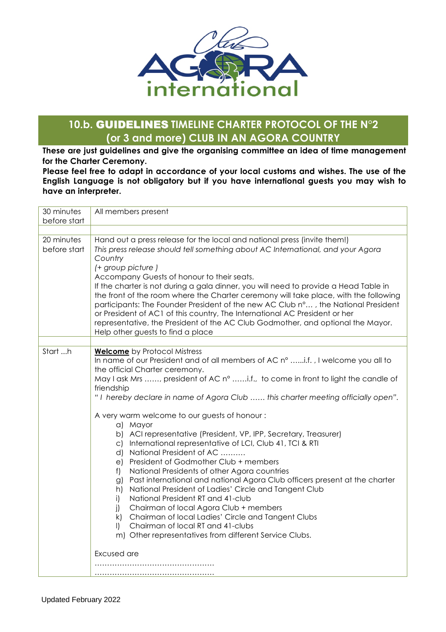

## **10.b.** GUIDELINES **TIMELINE CHARTER PROTOCOL OF THE N°2 (or 3 and more) CLUB IN AN AGORA COUNTRY**

**These are just guidelines and give the organising committee an idea of time management for the Charter Ceremony.**

**Please feel free to adapt in accordance of your local customs and wishes. The use of the English Language is not obligatory but if you have international guests you may wish to have an interpreter.**

| 30 minutes<br>before start | All members present                                                                                                                                                                                                                                                                                                                                                                                                                                                                                                                                                                                                                                                                                                                                                                                                                                                                                                                                                                                                                                                                                                        |
|----------------------------|----------------------------------------------------------------------------------------------------------------------------------------------------------------------------------------------------------------------------------------------------------------------------------------------------------------------------------------------------------------------------------------------------------------------------------------------------------------------------------------------------------------------------------------------------------------------------------------------------------------------------------------------------------------------------------------------------------------------------------------------------------------------------------------------------------------------------------------------------------------------------------------------------------------------------------------------------------------------------------------------------------------------------------------------------------------------------------------------------------------------------|
|                            |                                                                                                                                                                                                                                                                                                                                                                                                                                                                                                                                                                                                                                                                                                                                                                                                                                                                                                                                                                                                                                                                                                                            |
| 20 minutes<br>before start | Hand out a press release for the local and national press (invite them!)<br>This press release should tell something about AC International, and your Agora<br>Country<br>(+ group picture)<br>Accompany Guests of honour to their seats.<br>If the charter is not during a gala dinner, you will need to provide a Head Table in<br>the front of the room where the Charter ceremony will take place, with the following<br>participants: The Founder President of the new AC Club n°, the National President<br>or President of AC1 of this country, The International AC President or her<br>representative, the President of the AC Club Godmother, and optional the Mayor.<br>Help other guests to find a place                                                                                                                                                                                                                                                                                                                                                                                                       |
| Start h                    |                                                                                                                                                                                                                                                                                                                                                                                                                                                                                                                                                                                                                                                                                                                                                                                                                                                                                                                                                                                                                                                                                                                            |
|                            | <b>Welcome</b> by Protocol Mistress<br>In name of our President and of all members of AC n° i.f., I welcome you all to<br>the official Charter ceremony.<br>May I ask Mrs , president of AC n° i.f., to come in front to light the candle of<br>friendship<br>"I hereby declare in name of Agora Club  this charter meeting officially open".<br>A very warm welcome to our guests of honour:<br>a) Mayor<br>b) ACI representative (President, VP, IPP, Secretary, Treasurer)<br>c) International representative of LCI, Club 41, TCI & RTI<br>National President of AC<br>d)<br>President of Godmother Club + members<br>e)<br>National Presidents of other Agora countries<br>f)<br>Past international and national Agora Club officers present at the charter<br>g)<br>National President of Ladies' Circle and Tangent Club<br>h)<br>National President RT and 41-club<br>i)<br>Chairman of local Agora Club + members<br>j)<br>k)<br>Chairman of local Ladies' Circle and Tangent Clubs<br>Chairman of local RT and 41-clubs<br>$\mathbf{I}$<br>m) Other representatives from different Service Clubs.<br>Excused are |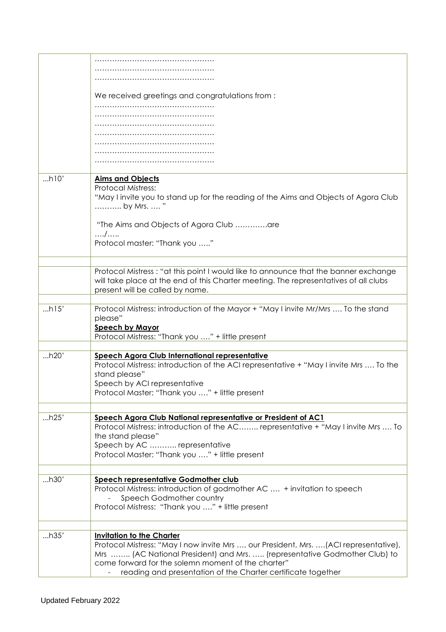| We received greetings and congratulations from:<br>h10'<br><b>Aims and Objects</b><br><b>Protocal Mistress:</b><br>"May I invite you to stand up for the reading of the Aims and Objects of Agora Club<br>by Mrs.  "<br>"The Aims and Objects of Agora Club are<br>$\ldots$ / $\ldots$ .<br>Protocol master: "Thank you "<br>Protocol Mistress: "at this point I would like to announce that the banner exchange<br>will take place at the end of this Charter meeting. The representatives of all clubs<br>present will be called by name.<br>h15'<br>Protocol Mistress: introduction of the Mayor + "May I invite Mr/Mrs  To the stand<br>please"<br><b>Speech by Mayor</b><br>Protocol Mistress: "Thank you " + little present<br>h20'<br>Speech Agora Club International representative<br>Protocol Mistress: introduction of the ACI representative + "May I invite Mrs  To the<br>stand please"<br>Speech by ACI representative<br>Protocol Master: "Thank you " + little present<br>h25'<br>Speech Agora Club National representative or President of AC1<br>Protocol Mistress: introduction of the AC representative + "May I invite Mrs  To<br>the stand please"<br>Speech by AC  representative<br>Protocol Master: "Thank you " + little present<br>h30'<br>Speech representative Godmother club<br>Protocol Mistress: introduction of godmother AC  + invitation to speech<br>Speech Godmother country<br>Protocol Mistress: "Thank you " + little present<br>h35'<br><b>Invitation to the Charter</b><br>Protocol Mistress: "May I now invite Mrs , our President, Mrs. (ACI representative),<br>Mrs  (AC National President) and Mrs.  (representative Godmother Club) to<br>come forward for the solemn moment of the charter" |                                                              |
|-----------------------------------------------------------------------------------------------------------------------------------------------------------------------------------------------------------------------------------------------------------------------------------------------------------------------------------------------------------------------------------------------------------------------------------------------------------------------------------------------------------------------------------------------------------------------------------------------------------------------------------------------------------------------------------------------------------------------------------------------------------------------------------------------------------------------------------------------------------------------------------------------------------------------------------------------------------------------------------------------------------------------------------------------------------------------------------------------------------------------------------------------------------------------------------------------------------------------------------------------------------------------------------------------------------------------------------------------------------------------------------------------------------------------------------------------------------------------------------------------------------------------------------------------------------------------------------------------------------------------------------------------------------------------------------------------------------------------------------------------|--------------------------------------------------------------|
|                                                                                                                                                                                                                                                                                                                                                                                                                                                                                                                                                                                                                                                                                                                                                                                                                                                                                                                                                                                                                                                                                                                                                                                                                                                                                                                                                                                                                                                                                                                                                                                                                                                                                                                                               |                                                              |
|                                                                                                                                                                                                                                                                                                                                                                                                                                                                                                                                                                                                                                                                                                                                                                                                                                                                                                                                                                                                                                                                                                                                                                                                                                                                                                                                                                                                                                                                                                                                                                                                                                                                                                                                               |                                                              |
|                                                                                                                                                                                                                                                                                                                                                                                                                                                                                                                                                                                                                                                                                                                                                                                                                                                                                                                                                                                                                                                                                                                                                                                                                                                                                                                                                                                                                                                                                                                                                                                                                                                                                                                                               |                                                              |
|                                                                                                                                                                                                                                                                                                                                                                                                                                                                                                                                                                                                                                                                                                                                                                                                                                                                                                                                                                                                                                                                                                                                                                                                                                                                                                                                                                                                                                                                                                                                                                                                                                                                                                                                               |                                                              |
|                                                                                                                                                                                                                                                                                                                                                                                                                                                                                                                                                                                                                                                                                                                                                                                                                                                                                                                                                                                                                                                                                                                                                                                                                                                                                                                                                                                                                                                                                                                                                                                                                                                                                                                                               |                                                              |
|                                                                                                                                                                                                                                                                                                                                                                                                                                                                                                                                                                                                                                                                                                                                                                                                                                                                                                                                                                                                                                                                                                                                                                                                                                                                                                                                                                                                                                                                                                                                                                                                                                                                                                                                               |                                                              |
|                                                                                                                                                                                                                                                                                                                                                                                                                                                                                                                                                                                                                                                                                                                                                                                                                                                                                                                                                                                                                                                                                                                                                                                                                                                                                                                                                                                                                                                                                                                                                                                                                                                                                                                                               |                                                              |
|                                                                                                                                                                                                                                                                                                                                                                                                                                                                                                                                                                                                                                                                                                                                                                                                                                                                                                                                                                                                                                                                                                                                                                                                                                                                                                                                                                                                                                                                                                                                                                                                                                                                                                                                               |                                                              |
|                                                                                                                                                                                                                                                                                                                                                                                                                                                                                                                                                                                                                                                                                                                                                                                                                                                                                                                                                                                                                                                                                                                                                                                                                                                                                                                                                                                                                                                                                                                                                                                                                                                                                                                                               |                                                              |
|                                                                                                                                                                                                                                                                                                                                                                                                                                                                                                                                                                                                                                                                                                                                                                                                                                                                                                                                                                                                                                                                                                                                                                                                                                                                                                                                                                                                                                                                                                                                                                                                                                                                                                                                               |                                                              |
|                                                                                                                                                                                                                                                                                                                                                                                                                                                                                                                                                                                                                                                                                                                                                                                                                                                                                                                                                                                                                                                                                                                                                                                                                                                                                                                                                                                                                                                                                                                                                                                                                                                                                                                                               |                                                              |
|                                                                                                                                                                                                                                                                                                                                                                                                                                                                                                                                                                                                                                                                                                                                                                                                                                                                                                                                                                                                                                                                                                                                                                                                                                                                                                                                                                                                                                                                                                                                                                                                                                                                                                                                               |                                                              |
|                                                                                                                                                                                                                                                                                                                                                                                                                                                                                                                                                                                                                                                                                                                                                                                                                                                                                                                                                                                                                                                                                                                                                                                                                                                                                                                                                                                                                                                                                                                                                                                                                                                                                                                                               |                                                              |
|                                                                                                                                                                                                                                                                                                                                                                                                                                                                                                                                                                                                                                                                                                                                                                                                                                                                                                                                                                                                                                                                                                                                                                                                                                                                                                                                                                                                                                                                                                                                                                                                                                                                                                                                               |                                                              |
|                                                                                                                                                                                                                                                                                                                                                                                                                                                                                                                                                                                                                                                                                                                                                                                                                                                                                                                                                                                                                                                                                                                                                                                                                                                                                                                                                                                                                                                                                                                                                                                                                                                                                                                                               |                                                              |
|                                                                                                                                                                                                                                                                                                                                                                                                                                                                                                                                                                                                                                                                                                                                                                                                                                                                                                                                                                                                                                                                                                                                                                                                                                                                                                                                                                                                                                                                                                                                                                                                                                                                                                                                               |                                                              |
|                                                                                                                                                                                                                                                                                                                                                                                                                                                                                                                                                                                                                                                                                                                                                                                                                                                                                                                                                                                                                                                                                                                                                                                                                                                                                                                                                                                                                                                                                                                                                                                                                                                                                                                                               |                                                              |
|                                                                                                                                                                                                                                                                                                                                                                                                                                                                                                                                                                                                                                                                                                                                                                                                                                                                                                                                                                                                                                                                                                                                                                                                                                                                                                                                                                                                                                                                                                                                                                                                                                                                                                                                               |                                                              |
|                                                                                                                                                                                                                                                                                                                                                                                                                                                                                                                                                                                                                                                                                                                                                                                                                                                                                                                                                                                                                                                                                                                                                                                                                                                                                                                                                                                                                                                                                                                                                                                                                                                                                                                                               |                                                              |
|                                                                                                                                                                                                                                                                                                                                                                                                                                                                                                                                                                                                                                                                                                                                                                                                                                                                                                                                                                                                                                                                                                                                                                                                                                                                                                                                                                                                                                                                                                                                                                                                                                                                                                                                               |                                                              |
|                                                                                                                                                                                                                                                                                                                                                                                                                                                                                                                                                                                                                                                                                                                                                                                                                                                                                                                                                                                                                                                                                                                                                                                                                                                                                                                                                                                                                                                                                                                                                                                                                                                                                                                                               |                                                              |
|                                                                                                                                                                                                                                                                                                                                                                                                                                                                                                                                                                                                                                                                                                                                                                                                                                                                                                                                                                                                                                                                                                                                                                                                                                                                                                                                                                                                                                                                                                                                                                                                                                                                                                                                               |                                                              |
|                                                                                                                                                                                                                                                                                                                                                                                                                                                                                                                                                                                                                                                                                                                                                                                                                                                                                                                                                                                                                                                                                                                                                                                                                                                                                                                                                                                                                                                                                                                                                                                                                                                                                                                                               |                                                              |
|                                                                                                                                                                                                                                                                                                                                                                                                                                                                                                                                                                                                                                                                                                                                                                                                                                                                                                                                                                                                                                                                                                                                                                                                                                                                                                                                                                                                                                                                                                                                                                                                                                                                                                                                               |                                                              |
|                                                                                                                                                                                                                                                                                                                                                                                                                                                                                                                                                                                                                                                                                                                                                                                                                                                                                                                                                                                                                                                                                                                                                                                                                                                                                                                                                                                                                                                                                                                                                                                                                                                                                                                                               |                                                              |
|                                                                                                                                                                                                                                                                                                                                                                                                                                                                                                                                                                                                                                                                                                                                                                                                                                                                                                                                                                                                                                                                                                                                                                                                                                                                                                                                                                                                                                                                                                                                                                                                                                                                                                                                               |                                                              |
|                                                                                                                                                                                                                                                                                                                                                                                                                                                                                                                                                                                                                                                                                                                                                                                                                                                                                                                                                                                                                                                                                                                                                                                                                                                                                                                                                                                                                                                                                                                                                                                                                                                                                                                                               |                                                              |
|                                                                                                                                                                                                                                                                                                                                                                                                                                                                                                                                                                                                                                                                                                                                                                                                                                                                                                                                                                                                                                                                                                                                                                                                                                                                                                                                                                                                                                                                                                                                                                                                                                                                                                                                               |                                                              |
|                                                                                                                                                                                                                                                                                                                                                                                                                                                                                                                                                                                                                                                                                                                                                                                                                                                                                                                                                                                                                                                                                                                                                                                                                                                                                                                                                                                                                                                                                                                                                                                                                                                                                                                                               |                                                              |
|                                                                                                                                                                                                                                                                                                                                                                                                                                                                                                                                                                                                                                                                                                                                                                                                                                                                                                                                                                                                                                                                                                                                                                                                                                                                                                                                                                                                                                                                                                                                                                                                                                                                                                                                               |                                                              |
|                                                                                                                                                                                                                                                                                                                                                                                                                                                                                                                                                                                                                                                                                                                                                                                                                                                                                                                                                                                                                                                                                                                                                                                                                                                                                                                                                                                                                                                                                                                                                                                                                                                                                                                                               |                                                              |
|                                                                                                                                                                                                                                                                                                                                                                                                                                                                                                                                                                                                                                                                                                                                                                                                                                                                                                                                                                                                                                                                                                                                                                                                                                                                                                                                                                                                                                                                                                                                                                                                                                                                                                                                               |                                                              |
|                                                                                                                                                                                                                                                                                                                                                                                                                                                                                                                                                                                                                                                                                                                                                                                                                                                                                                                                                                                                                                                                                                                                                                                                                                                                                                                                                                                                                                                                                                                                                                                                                                                                                                                                               |                                                              |
|                                                                                                                                                                                                                                                                                                                                                                                                                                                                                                                                                                                                                                                                                                                                                                                                                                                                                                                                                                                                                                                                                                                                                                                                                                                                                                                                                                                                                                                                                                                                                                                                                                                                                                                                               |                                                              |
|                                                                                                                                                                                                                                                                                                                                                                                                                                                                                                                                                                                                                                                                                                                                                                                                                                                                                                                                                                                                                                                                                                                                                                                                                                                                                                                                                                                                                                                                                                                                                                                                                                                                                                                                               |                                                              |
|                                                                                                                                                                                                                                                                                                                                                                                                                                                                                                                                                                                                                                                                                                                                                                                                                                                                                                                                                                                                                                                                                                                                                                                                                                                                                                                                                                                                                                                                                                                                                                                                                                                                                                                                               |                                                              |
|                                                                                                                                                                                                                                                                                                                                                                                                                                                                                                                                                                                                                                                                                                                                                                                                                                                                                                                                                                                                                                                                                                                                                                                                                                                                                                                                                                                                                                                                                                                                                                                                                                                                                                                                               |                                                              |
|                                                                                                                                                                                                                                                                                                                                                                                                                                                                                                                                                                                                                                                                                                                                                                                                                                                                                                                                                                                                                                                                                                                                                                                                                                                                                                                                                                                                                                                                                                                                                                                                                                                                                                                                               |                                                              |
|                                                                                                                                                                                                                                                                                                                                                                                                                                                                                                                                                                                                                                                                                                                                                                                                                                                                                                                                                                                                                                                                                                                                                                                                                                                                                                                                                                                                                                                                                                                                                                                                                                                                                                                                               |                                                              |
|                                                                                                                                                                                                                                                                                                                                                                                                                                                                                                                                                                                                                                                                                                                                                                                                                                                                                                                                                                                                                                                                                                                                                                                                                                                                                                                                                                                                                                                                                                                                                                                                                                                                                                                                               |                                                              |
|                                                                                                                                                                                                                                                                                                                                                                                                                                                                                                                                                                                                                                                                                                                                                                                                                                                                                                                                                                                                                                                                                                                                                                                                                                                                                                                                                                                                                                                                                                                                                                                                                                                                                                                                               |                                                              |
|                                                                                                                                                                                                                                                                                                                                                                                                                                                                                                                                                                                                                                                                                                                                                                                                                                                                                                                                                                                                                                                                                                                                                                                                                                                                                                                                                                                                                                                                                                                                                                                                                                                                                                                                               |                                                              |
|                                                                                                                                                                                                                                                                                                                                                                                                                                                                                                                                                                                                                                                                                                                                                                                                                                                                                                                                                                                                                                                                                                                                                                                                                                                                                                                                                                                                                                                                                                                                                                                                                                                                                                                                               |                                                              |
|                                                                                                                                                                                                                                                                                                                                                                                                                                                                                                                                                                                                                                                                                                                                                                                                                                                                                                                                                                                                                                                                                                                                                                                                                                                                                                                                                                                                                                                                                                                                                                                                                                                                                                                                               |                                                              |
|                                                                                                                                                                                                                                                                                                                                                                                                                                                                                                                                                                                                                                                                                                                                                                                                                                                                                                                                                                                                                                                                                                                                                                                                                                                                                                                                                                                                                                                                                                                                                                                                                                                                                                                                               |                                                              |
|                                                                                                                                                                                                                                                                                                                                                                                                                                                                                                                                                                                                                                                                                                                                                                                                                                                                                                                                                                                                                                                                                                                                                                                                                                                                                                                                                                                                                                                                                                                                                                                                                                                                                                                                               |                                                              |
|                                                                                                                                                                                                                                                                                                                                                                                                                                                                                                                                                                                                                                                                                                                                                                                                                                                                                                                                                                                                                                                                                                                                                                                                                                                                                                                                                                                                                                                                                                                                                                                                                                                                                                                                               |                                                              |
|                                                                                                                                                                                                                                                                                                                                                                                                                                                                                                                                                                                                                                                                                                                                                                                                                                                                                                                                                                                                                                                                                                                                                                                                                                                                                                                                                                                                                                                                                                                                                                                                                                                                                                                                               |                                                              |
|                                                                                                                                                                                                                                                                                                                                                                                                                                                                                                                                                                                                                                                                                                                                                                                                                                                                                                                                                                                                                                                                                                                                                                                                                                                                                                                                                                                                                                                                                                                                                                                                                                                                                                                                               |                                                              |
|                                                                                                                                                                                                                                                                                                                                                                                                                                                                                                                                                                                                                                                                                                                                                                                                                                                                                                                                                                                                                                                                                                                                                                                                                                                                                                                                                                                                                                                                                                                                                                                                                                                                                                                                               |                                                              |
|                                                                                                                                                                                                                                                                                                                                                                                                                                                                                                                                                                                                                                                                                                                                                                                                                                                                                                                                                                                                                                                                                                                                                                                                                                                                                                                                                                                                                                                                                                                                                                                                                                                                                                                                               |                                                              |
|                                                                                                                                                                                                                                                                                                                                                                                                                                                                                                                                                                                                                                                                                                                                                                                                                                                                                                                                                                                                                                                                                                                                                                                                                                                                                                                                                                                                                                                                                                                                                                                                                                                                                                                                               |                                                              |
|                                                                                                                                                                                                                                                                                                                                                                                                                                                                                                                                                                                                                                                                                                                                                                                                                                                                                                                                                                                                                                                                                                                                                                                                                                                                                                                                                                                                                                                                                                                                                                                                                                                                                                                                               |                                                              |
|                                                                                                                                                                                                                                                                                                                                                                                                                                                                                                                                                                                                                                                                                                                                                                                                                                                                                                                                                                                                                                                                                                                                                                                                                                                                                                                                                                                                                                                                                                                                                                                                                                                                                                                                               | reading and presentation of the Charter certificate together |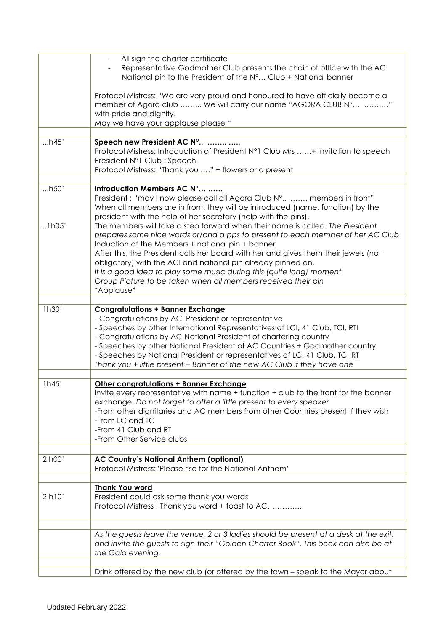|        | All sign the charter certificate<br>Representative Godmother Club presents the chain of office with the AC<br>National pin to the President of the N° Club + National banner<br>Protocol Mistress: "We are very proud and honoured to have officially become a<br>member of Agora club  We will carry our name "AGORA CLUB N° "<br>with pride and dignity.                                                                                                                                                                        |
|--------|-----------------------------------------------------------------------------------------------------------------------------------------------------------------------------------------------------------------------------------------------------------------------------------------------------------------------------------------------------------------------------------------------------------------------------------------------------------------------------------------------------------------------------------|
|        | May we have your applause please "                                                                                                                                                                                                                                                                                                                                                                                                                                                                                                |
| h45'   | Speech new President AC N°<br>Protocol Mistress: Introduction of President N°1 Club Mrs + invitation to speech<br>President N°1 Club: Speech<br>Protocol Mistress: "Thank you " + flowers or a present                                                                                                                                                                                                                                                                                                                            |
| h50'   | Introduction Members AC N°<br>President: "may I now please call all Agora Club N°  members in front"<br>When all members are in front, they will be introduced (name, function) by the<br>president with the help of her secretary (help with the pins).                                                                                                                                                                                                                                                                          |
| .1h05' | The members will take a step forward when their name is called. The President<br>prepares some nice words or/and a pps to present to each member of her AC Club<br>Induction of the Members + national pin + banner<br>After this, the President calls her board with her and gives them their jewels (not<br>obligatory) with the ACI and national pin already pinned on.<br>It is a good idea to play some music during this (quite long) moment<br>Group Picture to be taken when all members received their pin<br>*Applause* |
| 1h30'  | <b>Congratulations + Banner Exchange</b><br>- Congratulations by ACI President or representative<br>- Speeches by other International Representatives of LCI, 41 Club, TCI, RTI<br>- Congratulations by AC National President of chartering country<br>- Speeches by other National President of AC Countries + Godmother country<br>- Speeches by National President or representatives of LC, 41 Club, TC, RT<br>Thank you + little present + Banner of the new AC Club if they have one                                        |
| 1h45'  | <b>Other congratulations + Banner Exchange</b><br>Invite every representative with name + function + club to the front for the banner<br>exchange. Do not forget to offer a little present to every speaker<br>-From other dignitaries and AC members from other Countries present if they wish<br>-From LC and TC<br>-From 41 Club and RT<br>-From Other Service clubs                                                                                                                                                           |
| 2 h00' | <b>AC Country's National Anthem (optional)</b><br>Protocol Mistress:"Please rise for the National Anthem"                                                                                                                                                                                                                                                                                                                                                                                                                         |
| 2 h10' | <b>Thank You word</b><br>President could ask some thank you words<br>Protocol Mistress: Thank you word + toast to AC                                                                                                                                                                                                                                                                                                                                                                                                              |
|        | As the guests leave the venue, 2 or 3 ladies should be present at a desk at the exit,<br>and invite the guests to sign their "Golden Charter Book". This book can also be at<br>the Gala evening.                                                                                                                                                                                                                                                                                                                                 |
|        | Drink offered by the new club (or offered by the town – speak to the Mayor about                                                                                                                                                                                                                                                                                                                                                                                                                                                  |